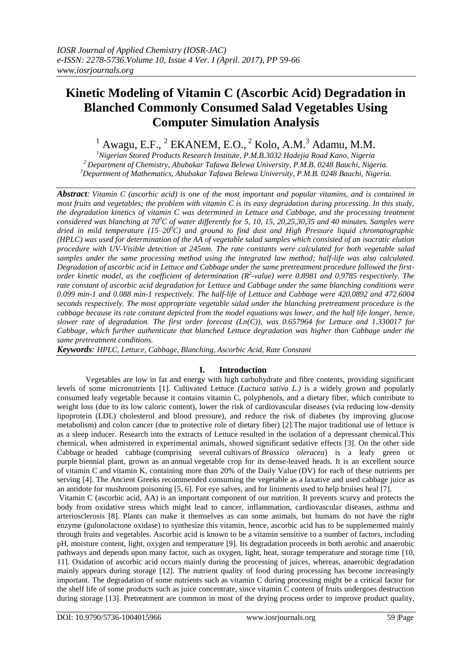# **Kinetic Modeling of Vitamin C (Ascorbic Acid) Degradation in Blanched Commonly Consumed Salad Vegetables Using Computer Simulation Analysis**

 $<sup>1</sup>$  Awagu, E.F.,  $<sup>2</sup>$  EKANEM, E.O.,  $<sup>2</sup>$  Kolo, A.M. $<sup>3</sup>$  Adamu, M.M.</sup></sup></sup></sup>

*<sup>1</sup>Nigerian Stored Products Research Institute, P.M.B.3032 Hadejia Road Kano, Nigeria <sup>2</sup>Department of Chemistry, Abubakar Tafawa Belewa University, P.M.B. 0248 Bauchi, Nigeria. <sup>3</sup>Department of Mathematics, Abubakar Tafawa Belewa University, P.M.B. 0248 Bauchi, Nigeria.*

*Abstract: Vitamin C (ascorbic acid) is one of the most important and popular vitamins, and is contained in most fruits and vegetables; the problem with vitamin C is its easy degradation during processing. In this study, the degradation kinetics of vitamin C was determined in Lettuce and Cabbage, and the processing treatment considered was blanching at 70<sup>0</sup>C of water differently for 5, 10, 15, 20,25,30,35 and 40 minutes. Samples were dried in mild temperature (15–20<sup>0</sup>C) and ground to find dust and High Pressure liquid chromatographic (HPLC) was used for determination of the AA of vegetable salad samples which consisted of an isocratic elution procedure with UV-Visible detection at 245nm. The rate constants were calculated for both vegetable salad samples under the same processing method using the integrated law method; half-life was also calculated. Degradation of ascorbic acid in Lettuce and Cabbage under the same pretreatment procedure followed the firstorder kinetic model, as the coefficient of determination (R<sup>2</sup> -value) were 0.8981 and 0.9785 respectively. The rate constant of ascorbic acid degradation for Lettuce and Cabbage under the same blanching conditions were 0.099 min-1 and 0.088 min-1 respectively. The half-life of Lettuce and Cabbage were 420.0892 and 472.6004 seconds respectively. The most appropriate vegetable salad under the blanching pretreatment procedure is the cabbage because its rate constant depicted from the model equations was lower, and the half life longer, hence, slower rate of degradation. The first order forecast (Ln(C)), was 0.657964 for Lettuce and 1.330017 for Cabbage, which further authenticate that blanched Lettuce degradation was higher than Cabbage under the same pretreatment conditions.*

*Keywords: HPLC, Lettuce, Cabbage, Blanching, Ascorbic Acid, Rate Constant*

# **I. Introduction**

Vegetables are low in fat and energy with high carbohydrate and fibre contents, providing significant levels of some micronutrients [1]. Cultivated Lettuce *(Lactuca sativa L.)* is a widely grown and popularly consumed leafy vegetable because it contains vitamin C, polyphenols, and a dietary fiber, which contribute to weight loss (due to its low caloric content), lower the risk of cardiovascular diseases (via reducing low-density lipoprotein (LDL) cholesterol and blood pressure), and reduce the risk of diabetes (by improving glucose metabolism) and colon cancer (due to protective role of dietary fiber) [2]*.*The major traditional use of lettuce is as a sleep inducer. Research into the extracts of Lettuce resulted in the isolation of a depressant chemical.This chemical, when admistered in experimental animals, showed significant sedative effects [3]. On the other side Cabbage or headed cabbage (comprising several [cultivars](https://en.wikipedia.org/wiki/Cultivar) of *[Brassica oleracea](https://en.wikipedia.org/wiki/Brassica_oleracea)*) is a leafy green or purple [biennial plant,](https://en.wikipedia.org/wiki/Biennial_plant) grown as an [annual](https://en.wikipedia.org/wiki/Annual_plant) vegetable crop for its dense-leaved heads. It is an excellent source of [vitamin C](https://en.wikipedia.org/wiki/Vitamin_C) and [vitamin K,](https://en.wikipedia.org/wiki/Vitamin_K) containing more than 20% of the [Daily Value](https://en.wikipedia.org/wiki/Daily_Value) (DV) for each of these nutrients per serving [4]. The [Ancient Greeks](https://en.wikipedia.org/wiki/Ancient_Greece) recommended consuming the vegetable as a [laxative](https://en.wikipedia.org/wiki/Laxative) and used cabbage juice as an antidote for [mushroom poisoning \[](https://en.wikipedia.org/wiki/Mushroom_poisoning)5, 6]. For eye [salves,](https://en.wikipedia.org/wiki/Salve) and for [liniments](https://en.wikipedia.org/wiki/Liniment) used to help bruises heal [7].

Vitamin C (ascorbic acid, AA) is an important component of our nutrition. It prevents scurvy and protects the body from oxidative stress which might lead to cancer, inflammation, cardiovascular diseases, asthma and arteriosclerosis [8]. Plants can make it themselves as can some animals, but humans do not have the right enzyme (gulonolactone oxidase) to synthesize this vitamin, hence, ascorbic acid has to be supplemented mainly through fruits and vegetables. Ascorbic acid is known to be a vitamin sensitive to a number of factors, including pH, moisture content, light, oxygen and temperature [9]. Its degradation proceeds in both aerobic and anaerobic pathways and depends upon many factor, such as oxygen, light, heat, storage temperature and storage time [10, 11]. Oxidation of ascorbic acid occurs mainly during the processing of juices, whereas, anaerobic degradation mainly appears during storage [12]. The nutrient quality of food during processing has become increasingly important. The degradation of some nutrients such as vitamin C during processing might be a critical factor for the shelf life of some products such as juice concentrate, since vitamin C content of fruits undergoes destruction during storage [13]. Pretreatment are common in most of the drying process order to improve product quality,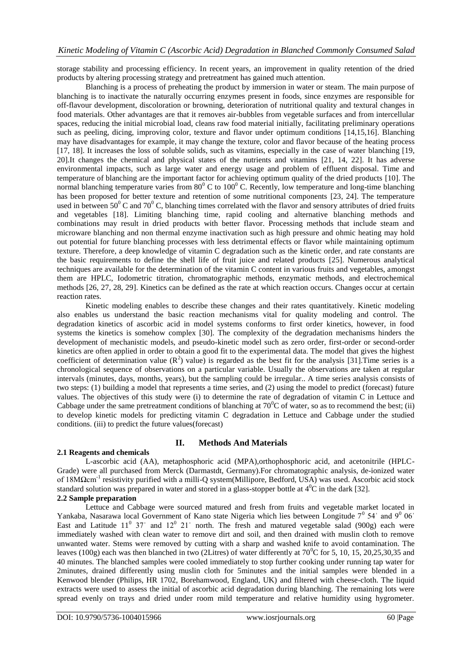storage stability and processing efficiency. In recent years, an improvement in quality retention of the dried products by altering processing strategy and pretreatment has gained much attention.

Blanching is a process of preheating the product by immersion in water or steam. The main purpose of blanching is to inactivate the naturally occurring enzymes present in foods, since enzymes are responsible for off-flavour development, discoloration or browning, deterioration of nutritional quality and textural changes in food materials. Other advantages are that it removes air-bubbles from vegetable surfaces and from intercellular spaces, reducing the initial microbial load, cleans raw food material initially, facilitating preliminary operations such as peeling, dicing, improving color, texture and flavor under optimum conditions [14,15,16]. Blanching may have disadvantages for example, it may change the texture, color and flavor because of the heating process [17, 18]. It increases the loss of soluble solids, such as vitamins, especially in the case of water blanching [19, 20].It changes the chemical and physical states of the nutrients and vitamins [21, 14, 22]. It has adverse environmental impacts, such as large water and energy usage and problem of effluent disposal. Time and temperature of blanching are the important factor for achieving optimum quality of the dried products [10]. The normal blanching temperature varies from  $80^{\circ}$  C to  $100^{\circ}$  C. Recently, low temperature and long-time blanching has been proposed for better texture and retention of some nutritional components [23, 24]. The temperature used in between  $50^{\circ}$  C and  $70^{\circ}$  C, blanching times correlated with the flavor and sensory attributes of dried fruits and vegetables [18]. Limiting blanching time, rapid cooling and alternative blanching methods and combinations may result in dried products with better flavor. Processing methods that include steam and microware blanching and non thermal enzyme inactivation such as high pressure and ohmic heating may hold out potential for future blanching processes with less detrimental effects or flavor while maintaining optimum texture. Therefore, a deep knowledge of vitamin C degradation such as the kinetic order, and rate constants are the basic requirements to define the shell life of fruit juice and related products [25]. Numerous analytical techniques are available for the determination of the vitamin C content in various fruits and vegetables, amongst them are HPLC, Iodometric titration, chromatographic methods, enzymatic methods, and electrochemical methods [26, 27, 28, 29]. Kinetics can be defined as the rate at which reaction occurs. Changes occur at certain reaction rates.

Kinetic modeling enables to describe these changes and their rates quantitatively. Kinetic modeling also enables us understand the basic reaction mechanisms vital for quality modeling and control. The degradation kinetics of ascorbic acid in model systems conforms to first order kinetics, however, in food systems the kinetics is somehow complex [30]. The complexity of the degradation mechanisms hinders the development of mechanistic models, and pseudo-kinetic model such as zero order, first-order or second-order kinetics are often applied in order to obtain a good fit to the experimental data. The model that gives the highest coefficient of determination value  $(R^2)$  value) is regarded as the best fit for the analysis [31]. Time series is a chronological sequence of observations on a particular variable. Usually the observations are taken at regular intervals (minutes, days, months, years), but the sampling could be irregular.. A time series analysis consists of two steps: (1) building a model that represents a time series, and (2) using the model to predict (forecast) future values. The objectives of this study were (i) to determine the rate of degradation of vitamin C in Lettuce and Cabbage under the same pretreatment conditions of blanching at  $70^{\circ}$ C of water, so as to recommend the best; (ii) to develop kinetic models for predicting vitamin C degradation in Lettuce and Cabbage under the studied conditions. (iii) to predict the future values(forecast)

# **II. Methods And Materials**

# **2.1 Reagents and chemicals**

L-ascorbic acid (AA), metaphosphoric acid (MPA),orthophosphoric acid, and acetonitrile (HPLC-Grade) were all purchased from Merck (Darmastdt, Germany).For chromatographic analysis, de-ionized water of 18MΩcm<sup>-1</sup> resistivity purified with a milli-Q system(Millipore, Bedford, USA) was used. Ascorbic acid stock standard solution was prepared in water and stored in a glass-stopper bottle at  $4^{0}C$  in the dark [32]. **2.2 Sample preparation**

Lettuce and Cabbage were sourced matured and fresh from fruits and vegetable market located in Yankaba, Nasarawa local Government of Kano state Nigeria which lies between Longitude  $7^0$  54' and  $9^0$  06' East and Latitude  $11^0$  37' and  $12^0$  21' north. The fresh and matured vegetable salad (900g) each were immediately washed with clean water to remove dirt and soil, and then drained with muslin cloth to remove unwanted water. Stems were removed by cutting with a sharp and washed knife to avoid contamination. The leaves (100g) each was then blanched in two (2Litres) of water differently at  $70^{\circ}$ C for 5, 10, 15, 20,25,30,35 and 40 minutes. The blanched samples were cooled immediately to stop further cooking under running tap water for 2minutes, drained differently using muslin cloth for 5minutes and the initial samples were blended in a Kenwood blender (Philips, HR 1702, Borehamwood, England, UK) and filtered with cheese-cloth. The liquid extracts were used to assess the initial of ascorbic acid degradation during blanching. The remaining lots were spread evenly on trays and dried under room mild temperature and relative humidity using hygrometer.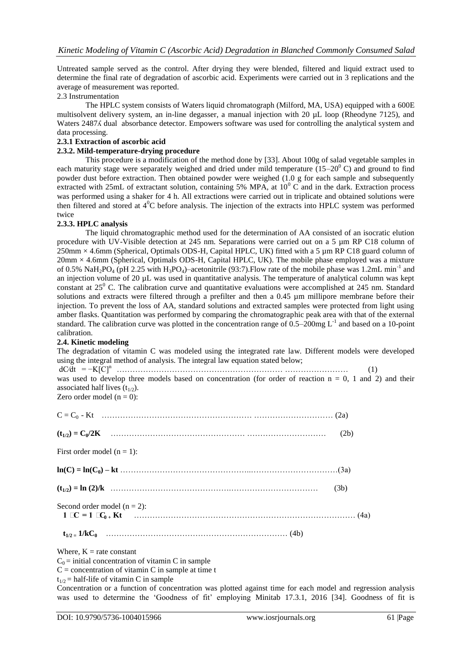Untreated sample served as the control. After drying they were blended, filtered and liquid extract used to determine the final rate of degradation of ascorbic acid. Experiments were carried out in 3 replications and the average of measurement was reported.

# 2.3 Instrumentation

The HPLC system consists of Waters liquid chromatograph (Milford, MA, USA) equipped with a 600E multisolvent delivery system, an in-line degasser, a manual injection with 20  $\mu$ L loop (Rheodyne 7125), and Waters 2487 $\Lambda$  dual absorbance detector. Empowers software was used for controlling the analytical system and data processing.

# **2.3.1 Extraction of ascorbic acid**

# **2.3.2. Mild-temperature-drying procedure**

This procedure is a modification of the method done by [33]. About 100g of salad vegetable samples in each maturity stage were separately weighed and dried under mild temperature  $(15-20<sup>o</sup> C)$  and ground to find powder dust before extraction. Then obtained powder were weighed (1.0 g for each sample and subsequently extracted with 25mL of extractant solution, containing 5% MPA, at  $10^{\circ}$  C and in the dark. Extraction process was performed using a shaker for 4 h. All extractions were carried out in triplicate and obtained solutions were then filtered and stored at  $4^{\circ}$ C before analysis. The injection of the extracts into HPLC system was performed twice

# **2.3.3. HPLC analysis**

The liquid chromatographic method used for the determination of AA consisted of an isocratic elution procedure with UV-Visible detection at 245 nm. Separations were carried out on a 5 µm RP C18 column of  $250 \text{mm} \times 4.6 \text{mm}$  (Spherical, Optimals ODS-H, Capital HPLC, UK) fitted with a 5 µm RP C18 guard column of  $20\text{mm} \times 4.6\text{mm}$  (Spherical, Optimals ODS-H, Capital HPLC, UK). The mobile phase employed was a mixture of 0.5% NaH<sub>2</sub>PO<sub>4</sub> (pH 2.25 with H<sub>3</sub>PO<sub>4</sub>)–acetonitrile (93:7). Flow rate of the mobile phase was 1.2mL min<sup>-1</sup> and an injection volume of 20 µL was used in quantitative analysis. The temperature of analytical column was kept constant at  $25^{\circ}$  C. The calibration curve and quantitative evaluations were accomplished at 245 nm. Standard solutions and extracts were filtered through a prefilter and then a 0.45 µm millipore membrane before their injection. To prevent the loss of AA, standard solutions and extracted samples were protected from light using amber flasks. Quantitation was performed by comparing the chromatographic peak area with that of the external standard. The calibration curve was plotted in the concentration range of  $0.5-200$  mg  $L^{-1}$  and based on a 10-point calibration.

# **2.4. Kinetic modeling**

The degradation of vitamin C was modeled using the integrated rate law. Different models were developed using the integral method of analysis. The integral law equation stated below;

dC⁄dt = −K[C]<sup>n</sup>……………………………………………………… …………………… (1) was used to develop three models based on concentration (for order of reaction  $n = 0$ , 1 and 2) and their associated half lives  $(t_{1/2})$ .

| $C = C_0 - Kt$ (2a)                                                                                                                                                                                                                                                                              |      |  |
|--------------------------------------------------------------------------------------------------------------------------------------------------------------------------------------------------------------------------------------------------------------------------------------------------|------|--|
|                                                                                                                                                                                                                                                                                                  | (2b) |  |
| First order model $(n = 1)$ :                                                                                                                                                                                                                                                                    |      |  |
|                                                                                                                                                                                                                                                                                                  |      |  |
|                                                                                                                                                                                                                                                                                                  | (3b) |  |
| Second order model $(n = 2)$ :<br>$1 \text{ CC} = 1 \text{ CC}_{0+} \text{K}$                                                                                                                                                                                                                    |      |  |
|                                                                                                                                                                                                                                                                                                  |      |  |
| $\mathbf{W}$ and $\mathbf{W}$ and $\mathbf{W}$ and $\mathbf{W}$ and $\mathbf{W}$ and $\mathbf{W}$ and $\mathbf{W}$ and $\mathbf{W}$ and $\mathbf{W}$ and $\mathbf{W}$ and $\mathbf{W}$ and $\mathbf{W}$ and $\mathbf{W}$ and $\mathbf{W}$ and $\mathbf{W}$ and $\mathbf{W}$ and $\mathbf{W}$ and |      |  |

Where,  $K =$  rate constant

 $C_0$  = initial concentration of vitamin C in sample

 $C =$  concentration of vitamin C in sample at time t

 $t_{1/2}$  = half-life of vitamin C in sample

Concentration or a function of concentration was plotted against time for each model and regression analysis was used to determine the 'Goodness of fit' employing Minitab 17.3.1, 2016 [34]. Goodness of fit is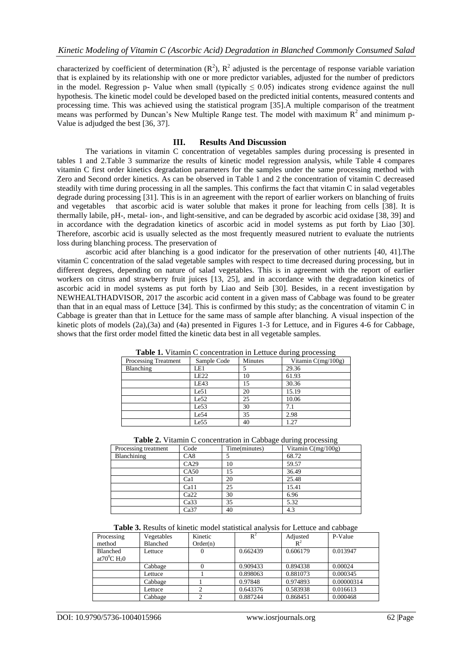characterized by coefficient of determination  $(R^2)$ ,  $R^2$  adjusted is the percentage of response variable variation that is explained by its relationship with one or more predictor variables, adjusted for the number of predictors in the model. Regression p- Value when small (typically  $\leq 0.05$ ) indicates strong evidence against the null hypothesis. The kinetic model could be developed based on the predicted initial contents, measured contents and processing time. This was achieved using the statistical program [35].A multiple comparison of the treatment means was performed by Duncan's New Multiple Range test. The model with maximum  $R<sup>2</sup>$  and minimum p-Value is adjudged the best [36, 37].

# **III. Results And Discussion**

The variations in vitamin C concentration of vegetables samples during processing is presented in tables 1 and 2.Table 3 summarize the results of kinetic model regression analysis, while Table 4 compares vitamin C first order kinetics degradation parameters for the samples under the same processing method with Zero and Second order kinetics. As can be observed in Table 1 and 2 the concentration of vitamin C decreased steadily with time during processing in all the samples. This confirms the fact that vitamin C in salad vegetables degrade during processing [31]. This is in an agreement with the report of earlier workers on blanching of fruits and vegetables that ascorbic acid is water soluble that makes it prone for leaching from cells [38]. It is thermally labile, pH-, metal- ion-, and light-sensitive, and can be degraded by ascorbic acid oxidase [38, 39] and in accordance with the degradation kinetics of ascorbic acid in model systems as put forth by Liao [30]. Therefore, ascorbic acid is usually selected as the most frequently measured nutrient to evaluate the nutrients loss during blanching process. The preservation of

ascorbic acid after blanching is a good indicator for the preservation of other nutrients [40, 41].The vitamin C concentration of the salad vegetable samples with respect to time decreased during processing, but in different degrees, depending on nature of salad vegetables. This is in agreement with the report of earlier workers on citrus and strawberry fruit juices [13, 25], and in accordance with the degradation kinetics of ascorbic acid in model systems as put forth by Liao and Seib [30]. Besides, in a recent investigation by NEWHEALTHADVISOR, 2017 the ascorbic acid content in a given mass of Cabbage was found to be greater than that in an equal mass of Lettuce [34]. This is confirmed by this study; as the concentration of vitamin C in Cabbage is greater than that in Lettuce for the same mass of sample after blanching. A visual inspection of the kinetic plots of models (2a),(3a) and (4a) presented in Figures 1-3 for Lettuce, and in Figures 4-6 for Cabbage, shows that the first order model fitted the kinetic data best in all vegetable samples.

| <b>THERE</b> If The Product Concentration in Ectrace daring processing |                  |         |                      |  |  |  |  |
|------------------------------------------------------------------------|------------------|---------|----------------------|--|--|--|--|
| <b>Processing Treatment</b>                                            | Sample Code      | Minutes | Vitamin $C(mg/100g)$ |  |  |  |  |
| Blanching                                                              | LE1              |         | 29.36                |  |  |  |  |
|                                                                        | <b>LE22</b>      | 10      | 61.93                |  |  |  |  |
|                                                                        | LE43             | 15      | 30.36                |  |  |  |  |
|                                                                        | Le51             | 20      | 15.19                |  |  |  |  |
|                                                                        | Le52             | 25      | 10.06                |  |  |  |  |
|                                                                        | Le53             | 30      | 7.1                  |  |  |  |  |
|                                                                        | Le54             | 35      | 2.98                 |  |  |  |  |
|                                                                        | Le <sub>55</sub> | 40      | 1.27                 |  |  |  |  |

**Table 1.** Vitamin C concentration in Lettuce during processing

| <b>Table 2.</b> Vitamin C concentration in Cabbage during processing |  |  |
|----------------------------------------------------------------------|--|--|
|                                                                      |  |  |

| Processing treatment | Code             | ັ<br>Time(minutes) | ັ້<br>ັ<br>Vitamin $C(mg/100g)$ |
|----------------------|------------------|--------------------|---------------------------------|
| Blanchining          | CA8              |                    | 68.72                           |
|                      | CA29             | 10                 | 59.57                           |
|                      | CA50             | 15                 | 36.49                           |
|                      | Ca1              | 20                 | 25.48                           |
|                      | Ca11             | 25                 | 15.41                           |
|                      | Ca22             | 30                 | 6.96                            |
|                      | Ca <sub>33</sub> | 35                 | 5.32                            |
|                      | Ca <sub>37</sub> | 40                 | 4.3                             |

| <b>Table 3.</b> Results of kinetic model statistical analysis for Lettuce and cabbage |  |  |  |  |
|---------------------------------------------------------------------------------------|--|--|--|--|
|                                                                                       |  |  |  |  |

| Processing<br>method                            | Vegetables<br><b>Blanched</b> | Kinetic<br>Order(n) | $R^2$    | Adjusted<br>$R^2$ | P-Value    |
|-------------------------------------------------|-------------------------------|---------------------|----------|-------------------|------------|
| <b>Blanched</b><br>at $70^0$ C H <sub>2</sub> 0 | Lettuce                       | 0                   | 0.662439 | 0.606179          | 0.013947   |
|                                                 | Cabbage                       |                     | 0.909433 | 0.894338          | 0.00024    |
|                                                 | Lettuce                       |                     | 0.898063 | 0.881073          | 0.000345   |
|                                                 | Cabbage                       |                     | 0.97848  | 0.974893          | 0.00000314 |
|                                                 | Lettuce                       |                     | 0.643376 | 0.583938          | 0.016613   |
|                                                 | Cabbage                       |                     | 0.887244 | 0.868451          | 0.000468   |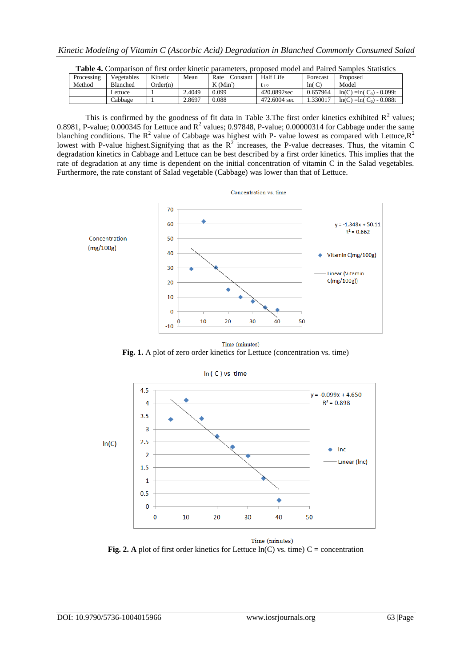| Processing | Vegetables | Kinetic  | Mean   | Rate<br>.`onstant | <b>Half Life</b> | Forecast | Proposed                   |
|------------|------------|----------|--------|-------------------|------------------|----------|----------------------------|
| Method     | Blanched   | Order(n) |        | $K$ (Min          | 1/2              | ln(C)    | Model                      |
|            | ettuce     |          | 2.4049 | 0.099             | 420.0892sec      | 0.657964 | $ln(C) = ln(C_0) - 0.099t$ |
|            | Cabbage    |          | 2.8697 | 0.088             | 472,6004 sec     | .330017  | $ln(C) = ln(C_0) - 0.088t$ |

This is confirmed by the goodness of fit data in Table 3. The first order kinetics exhibited  $R^2$  values; 0.8981, P-value; 0.000345 for Lettuce and  $R^2$  values; 0.97848, P-value; 0.00000314 for Cabbage under the same blanching conditions. The  $R^2$  value of Cabbage was highest with P- value lowest as compared with Lettuce,  $R^2$ lowest with P-value highest. Signifying that as the  $R^2$  increases, the P-value decreases. Thus, the vitamin C degradation kinetics in Cabbage and Lettuce can be best described by a first order kinetics. This implies that the rate of degradation at any time is dependent on the initial concentration of vitamin C in the Salad vegetables. Furthermore, the rate constant of Salad vegetable (Cabbage) was lower than that of Lettuce.



Time (minutes)

Fig. 1. A plot of zero order kinetics for Lettuce (concentration vs. time)





Time (minutes) **Fig. 2.** A plot of first order kinetics for Lettuce  $ln(C)$  vs. time)  $C =$  concentration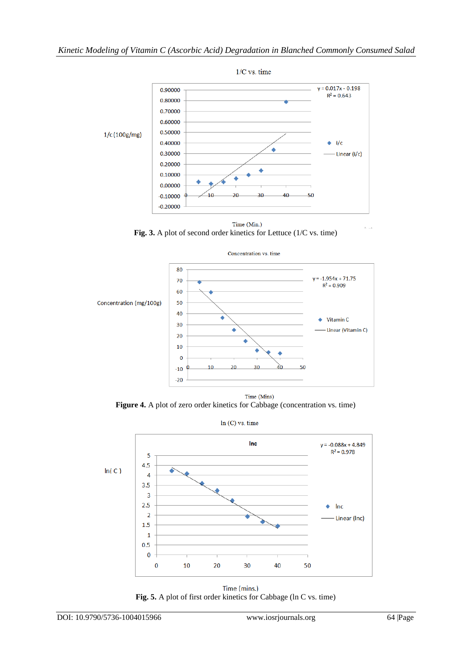

**Fig. 3.** A plot of second order kinetics for Lettuce (1/C vs. time)



**Figure 4.** A plot of zero order kinetics for Cabbage (concentration vs. time)

 $ln(C)$  vs. time



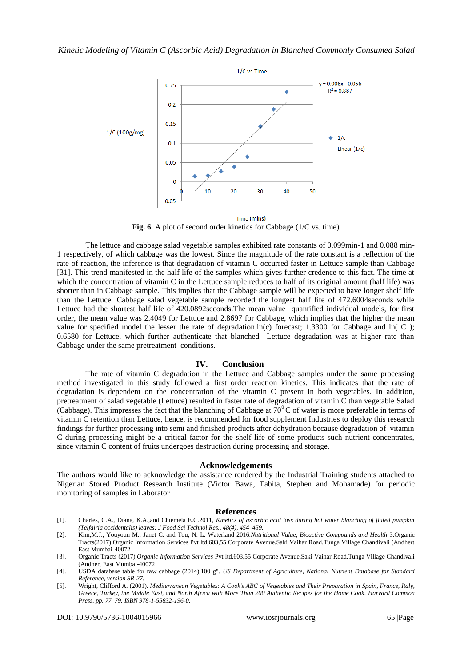

**Fig. 6.** A plot of second order kinetics for Cabbage (1/C vs. time)

The lettuce and cabbage salad vegetable samples exhibited rate constants of 0.099min-1 and 0.088 min-1 respectively, of which cabbage was the lowest. Since the magnitude of the rate constant is a reflection of the rate of reaction, the inference is that degradation of vitamin C occurred faster in Lettuce sample than Cabbage [31]. This trend manifested in the half life of the samples which gives further credence to this fact. The time at which the concentration of vitamin C in the Lettuce sample reduces to half of its original amount (half life) was shorter than in Cabbage sample. This implies that the Cabbage sample will be expected to have longer shelf life than the Lettuce. Cabbage salad vegetable sample recorded the longest half life of 472.6004seconds while Lettuce had the shortest half life of 420.0892seconds.The mean value quantified individual models, for first order, the mean value was 2.4049 for Lettuce and 2.8697 for Cabbage, which implies that the higher the mean value for specified model the lesser the rate of degradation.ln(c) forecast; 1.3300 for Cabbage and ln( $C$ ); 0.6580 for Lettuce, which further authenticate that blanched Lettuce degradation was at higher rate than Cabbage under the same pretreatment conditions.

# **IV. Conclusion**

The rate of vitamin C degradation in the Lettuce and Cabbage samples under the same processing method investigated in this study followed a first order reaction kinetics. This indicates that the rate of degradation is dependent on the concentration of the vitamin C present in both vegetables. In addition, pretreatment of salad vegetable (Lettuce) resulted in faster rate of degradation of vitamin C than vegetable Salad (Cabbage). This impresses the fact that the blanching of Cabbage at  $70^{\circ}$ C of water is more preferable in terms of vitamin C retention than Lettuce, hence, is recommended for food supplement Industries to deploy this research findings for further processing into semi and finished products after dehydration because degradation of vitamin C during processing might be a critical factor for the shelf life of some products such nutrient concentrates, since vitamin C content of fruits undergoes destruction during processing and storage.

# **Acknowledgements**

The authors would like to acknowledge the assistance rendered by the Industrial Training students attached to Nigerian Stored Product Research Institute (Victor Bawa, Tabita, Stephen and Mohamade) for periodic monitoring of samples in Laborator

# **References**

- [1]. Charles, C.A., Diana, K.A.,and Chiemela E.C.2011, *Kinetics of ascorbic acid loss during hot water blanching of fluted pumpkin (Telfairia occidentalis) leaves: [J Food Sci Technol.R](https://www.ncbi.nlm.nih.gov/pmc/articles/PMC3551187/)es., 48(4), 454–459.*
- [2]. Ki[m,M.J.,](https://www.researchgate.net/profile/Moo_Jung_Kim) Youyoun M.[, Janet C. and Tou,](https://www.researchgate.net/researcher/38101033_Janet_C_Tou) [N. L. Waterland](https://www.researchgate.net/profile/Nicole_Waterland) 2016.*Nutritional Value, Bioactive Compounds and Health* 3.Organic Tracts(2017).Organic Information Services Pvt ltd,603,55 Corporate Avenue.Saki Vaihar Road,Tunga Village Chandivali (Andhert East Mumbai-40072
- [3]. Organic Tracts (2017),*Organic Information Services* Pvt ltd,603,55 Corporate Avenue.Saki Vaihar Road,Tunga Village Chandivali (Andhert East Mumbai-40072
- [4]. [USDA database table for raw cabbage \(2014\),100 g".](http://ndb.nal.usda.gov/ndb/foods/show/2925) *US Department of Agriculture, National Nutrient Database for Standard Reference, version SR-27.*
- [5]. Wright, Clifford A. (2001). *[Mediterranean Vegetables: A Cook's ABC of Vegetables and Their Preparation in Spain, France, Italy,](https://books.google.com/books?id=tka838efZvkC&pg=PA77)  [Greece, Turkey, the Middle East, and North Africa with More Than 200 Authentic Recipes for the Home Cook.](https://books.google.com/books?id=tka838efZvkC&pg=PA77) Harvard Common Press. pp. 77–79. [ISBN](https://en.wikipedia.org/wiki/International_Standard_Book_Number) [978-1-55832-196-0.](https://en.wikipedia.org/wiki/Special:BookSources/978-1-55832-196-0)*